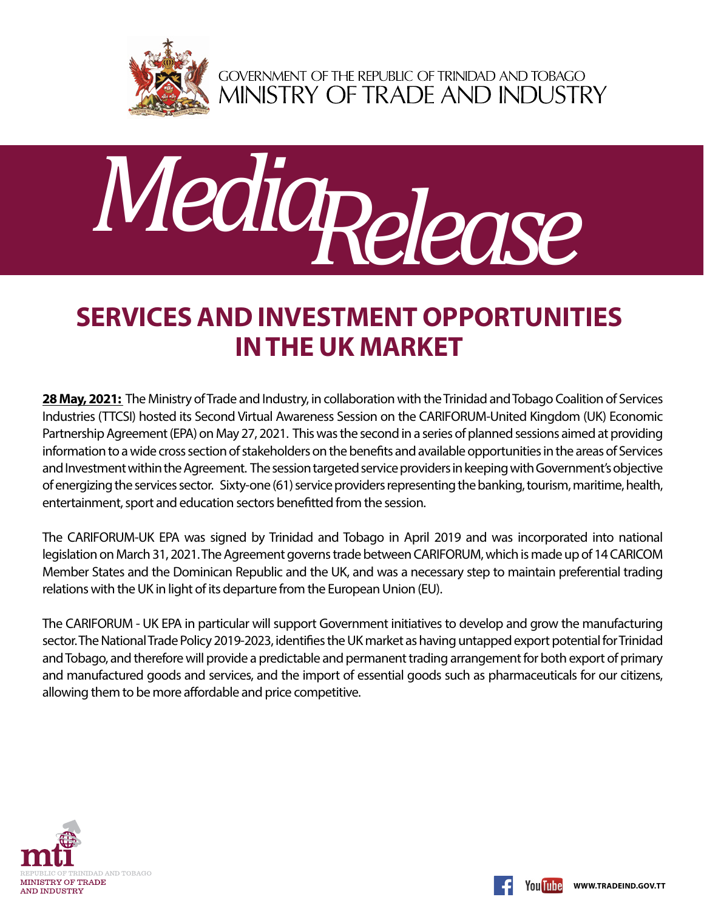

GOVERNMENT OF THE REPUBLIC OF TRINIDAD AND TOBAGO<br>MINISTRY OF TRADE AND INDUSTRY



## **Services and Investment opportunities in the UK market**

**28 May, 2021:** The Ministry of Trade and Industry, in collaboration with the Trinidad and Tobago Coalition of Services Industries (TTCSI) hosted its Second Virtual Awareness Session on the CARIFORUM-United Kingdom (UK) Economic Partnership Agreement (EPA) on May 27, 2021. This was the second in a series of planned sessions aimed at providing information to a wide cross section of stakeholders on the benefits and available opportunities in the areas of Services and Investment within the Agreement. The session targeted service providers in keeping with Government's objective of energizing the services sector. Sixty-one (61) service providers representing the banking, tourism, maritime, health, entertainment, sport and education sectors benefitted from the session.

The CARIFORUM-UK EPA was signed by Trinidad and Tobago in April 2019 and was incorporated into national legislation on March 31, 2021. The Agreement governs trade between CARIFORUM, which is made up of 14 CARICOM Member States and the Dominican Republic and the UK, and was a necessary step to maintain preferential trading relations with the UK in light of its departure from the European Union (EU).

The CARIFORUM - UK EPA in particular will support Government initiatives to develop and grow the manufacturing sector. The National Trade Policy 2019-2023, identifies the UK market as having untapped export potential for Trinidad and Tobago, and therefore will provide a predictable and permanent trading arrangement for both export of primary and manufactured goods and services, and the import of essential goods such as pharmaceuticals for our citizens, allowing them to be more affordable and price competitive.